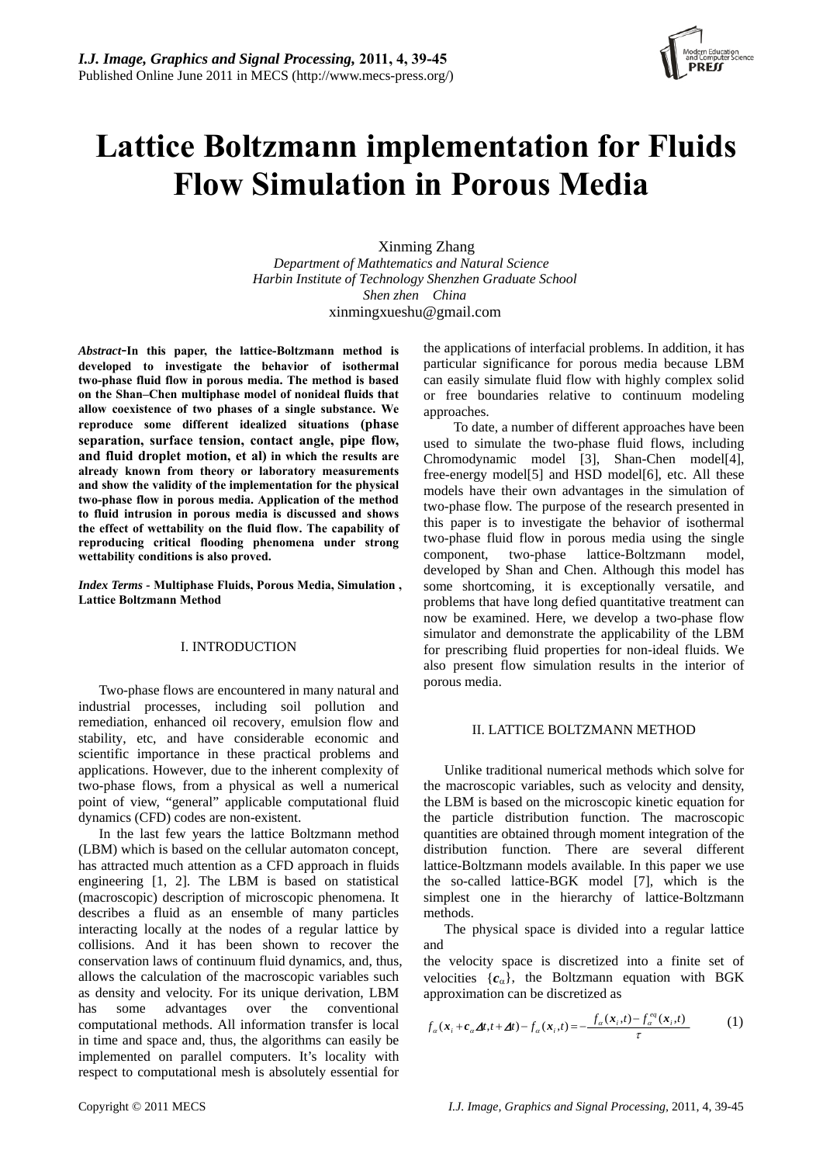

# **Lattice Boltzmann implementation for Fluids Flow Simulation in Porous Media**

Xinming Zhang *Department of [Mathtematics and Natural Science](http://www.hitsz.edu.cn/ManageSite/xuekebu/jixie/en/index-chn.htm)  Harbin Institute of Technology Shenzhen Graduate School Shen zhen China*  xinmingxueshu@gmail.com

*Abstract*-**In this paper, the lattice-Boltzmann method is developed to investigate the behavior of isothermal two-phase fluid flow in porous media. The method is based on the Shan–Chen multiphase model of nonideal fluids that allow coexistence of two phases of a single substance. We reproduce some different idealized situations (phase separation, surface tension, contact angle, pipe flow, and fluid droplet motion, et al) in which the results are already known from theory or laboratory measurements and show the validity of the implementation for the physical two-phase flow in porous media. Application of the method to fluid intrusion in porous media is discussed and shows the effect of wettability on the fluid flow. The capability of reproducing critical flooding phenomena under strong wettability conditions is also proved.** 

*Index Terms -* **Multiphase Fluids, Porous Media, Simulation , Lattice Boltzmann Method**

## I. INTRODUCTION

Two-phase flows are encountered in many natural and industrial processes, including soil pollution and remediation, enhanced oil recovery, emulsion flow and stability, etc, and have considerable economic and scientific importance in these practical problems and applications. However, due to the inherent complexity of two-phase flows, from a physical as well a numerical point of view, "general" applicable computational fluid dynamics (CFD) codes are non-existent.

In the last few years the lattice Boltzmann method (LBM) which is based on the cellular automaton concept, has attracted much attention as a CFD approach in fluids engineering [1, 2]. The LBM is based on statistical (macroscopic) description of microscopic phenomena. It describes a fluid as an ensemble of many particles interacting locally at the nodes of a regular lattice by collisions. And it has been shown to recover the conservation laws of continuum fluid dynamics, and, thus, allows the calculation of the macroscopic variables such as density and velocity. For its unique derivation, LBM has some advantages over the conventional computational methods. All information transfer is local in time and space and, thus, the algorithms can easily be implemented on parallel computers. It's locality with respect to computational mesh is absolutely essential for

the applications of interfacial problems. In addition, it has particular significance for porous media because LBM can easily simulate fluid flow with highly complex solid or free boundaries relative to continuum modeling approaches.

To date, a number of different approaches have been used to simulate the two-phase fluid flows, including Chromodynamic model [3], Shan-Chen model[4], free-energy model[5] and HSD model[6], etc. All these models have their own advantages in the simulation of two-phase flow. The purpose of the research presented in this paper is to investigate the behavior of isothermal two-phase fluid flow in porous media using the single component, two-phase lattice-Boltzmann model, developed by Shan and Chen. Although this model has some shortcoming, it is exceptionally versatile, and problems that have long defied quantitative treatment can now be examined. Here, we develop a two-phase flow simulator and demonstrate the applicability of the LBM for prescribing fluid properties for non-ideal fluids. We also present flow simulation results in the interior of porous media.

### II. LATTICE BOLTZMANN METHOD

Unlike traditional numerical methods which solve for the macroscopic variables, such as velocity and density, the LBM is based on the microscopic kinetic equation for the particle distribution function. The macroscopic quantities are obtained through moment integration of the distribution function. There are several different lattice-Boltzmann models available. In this paper we use the so-called lattice-BGK model [7], which is the simplest one in the hierarchy of lattice-Boltzmann methods.

The physical space is divided into a regular lattice and

the velocity space is discretized into a finite set of velocities  ${c_{\alpha}}$ , the Boltzmann equation with BGK approximation can be discretized as

$$
f_{\alpha}(\boldsymbol{x}_i + \boldsymbol{c}_{\alpha} \Delta t, t + \Delta t) - f_{\alpha}(\boldsymbol{x}_i, t) = -\frac{f_{\alpha}(\boldsymbol{x}_i, t) - f_{\alpha}^{eq}(\boldsymbol{x}_i, t)}{\tau}
$$
(1)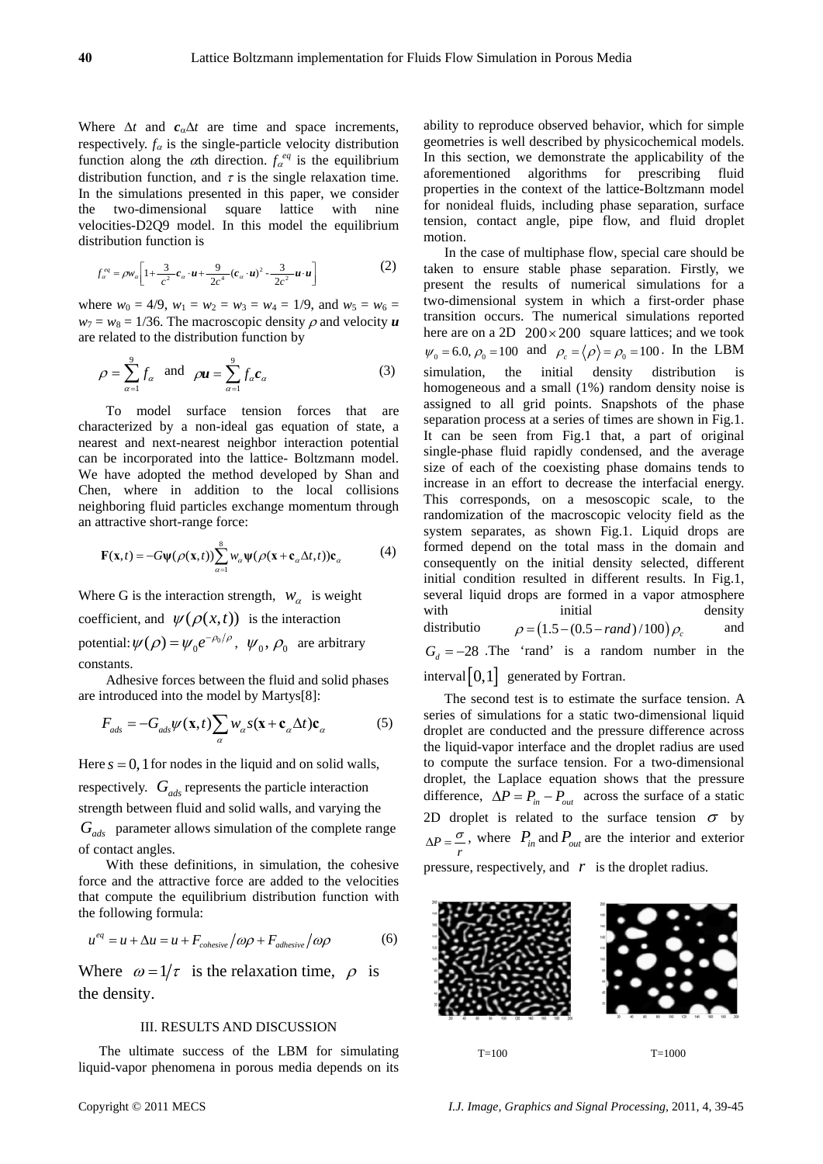Where  $\Delta t$  and  $c_{\alpha} \Delta t$  are time and space increments, respectively.  $f_{\alpha}$  is the single-particle velocity distribution function along the  $\alpha$ th direction.  $f_{\alpha}^{eq}$  is the equilibrium distribution function, and  $\tau$  is the single relaxation time. In the simulations presented in this paper, we consider the two-dimensional square lattice with nine velocities-D2Q9 model. In this model the equilibrium distribution function is

$$
f_{\alpha}^{eq} = \rho w_{\alpha} \bigg[ 1 + \frac{3}{c^2} c_{\alpha} \cdot u + \frac{9}{2c^4} (c_{\alpha} \cdot u)^2 - \frac{3}{2c^2} u \cdot u \bigg] \tag{2}
$$

where  $w_0 = 4/9$ ,  $w_1 = w_2 = w_3 = w_4 = 1/9$ , and  $w_5 = w_6 = 1/9$  $w_7 = w_8 = 1/36$ . The macroscopic density  $\rho$  and velocity *u* are related to the distribution function by

$$
\rho = \sum_{\alpha=1}^{9} f_{\alpha} \quad \text{and} \quad \rho \mathbf{u} = \sum_{\alpha=1}^{9} f_{\alpha} \mathbf{c}_{\alpha} \tag{3}
$$

To model surface tension forces that are characterized by a non-ideal gas equation of state, a nearest and next-nearest neighbor interaction potential can be incorporated into the lattice- Boltzmann model. We have adopted the method developed by Shan and Chen, where in addition to the local collisions neighboring fluid particles exchange momentum through an attractive short-range force:

$$
\mathbf{F}(\mathbf{x},t) = -G\psi(\rho(\mathbf{x},t))\sum_{\alpha=1}^{8} w_{\alpha}\psi(\rho(\mathbf{x}+\mathbf{c}_{\alpha}\Delta t,t))\mathbf{c}_{\alpha}
$$
(4)

Where G is the interaction strength,  $W_\alpha$  is weight

coefficient, and  $\psi(\rho(x,t))$  is the interaction

potential:  $\psi(\rho) = \psi_0 e^{-\rho_0/\rho}$ ,  $\psi_0$ ,  $\rho_0$  are arbitrary constants.

 Adhesive forces between the fluid and solid phases are introduced into the model by Martys[8]:

$$
F_{ads} = -G_{ads}\psi(\mathbf{x},t) \sum_{\alpha} w_{\alpha} s(\mathbf{x} + \mathbf{c}_{\alpha} \Delta t) \mathbf{c}_{\alpha}
$$
 (5)

Here  $s = 0$ , 1 for nodes in the liquid and on solid walls, respectively.  $G_{ads}$  represents the particle interaction strength between fluid and solid walls, and varying the

 parameter allows simulation of the complete range *Gads* of contact angles.

With these definitions, in simulation, the cohesive force and the attractive force are added to the velocities that compute the equilibrium distribution function with the following formula:

$$
u^{eq} = u + \Delta u = u + F_{cohesive} / \omega \rho + F_{adhesive} / \omega \rho \tag{6}
$$

Where  $\omega = 1/\tau$  is the relaxation time,  $\rho$  is the density.

#### III. RESULTS AND DISCUSSION

The ultimate success of the LBM for simulating liquid-vapor phenomena in porous media depends on its

ability to reproduce observed behavior, which for simple geometries is well described by physicochemical models. In this section, we demonstrate the applicability of the aforementioned algorithms for prescribing fluid properties in the context of the lattice-Boltzmann model for nonideal fluids, including phase separation, surface tension, contact angle, pipe flow, and fluid droplet motion.

In the case of multiphase flow, special care should be taken to ensure stable phase separation. Firstly, we present the results of numerical simulations for a two-dimensional system in which a first-order phase transition occurs. The numerical simulations reported here are on a 2D  $200 \times 200$  square lattices; and we took  $\psi_0 = 6.0, \rho_0 = 100$  and  $\rho_c = \langle \rho \rangle = \rho_0 = 100$ . In the LBM simulation, the initial density distribution is homogeneous and a small (1%) random density noise is assigned to all grid points. Snapshots of the phase separation process at a series of times are shown in Fig.1. It can be seen from Fig.1 that, a part of original single-phase fluid rapidly condensed, and the average size of each of the coexisting phase domains tends to increase in an effort to decrease the interfacial energy. This corresponds, on a mesoscopic scale, to the randomization of the macroscopic velocity field as the system separates, as shown Fig.1. Liquid drops are formed depend on the total mass in the domain and consequently on the initial density selected, different initial condition resulted in different results. In Fig.1, several liquid drops are formed in a vapor atmosphere with initial density distributio  $\rho = (1.5 - (0.5 - rand)/100) \rho_c$  and  $G_d = -28$  The 'rand' is a random number in the interval  $[0,1]$  generated by Fortran.

The second test is to estimate the surface tension. A series of simulations for a static two-dimensional liquid droplet are conducted and the pressure difference across the liquid-vapor interface and the droplet radius are used to compute the surface tension. For a two-dimensional droplet, the Laplace equation shows that the pressure difference,  $\Delta P = P_{in} - P_{out}$  across the surface of a static 2D droplet is related to the surface tension  $\sigma$  by  $\Delta P = \frac{\sigma}{r}$ , where  $P_{in}$  and  $P_{out}$  are the interior and exterior pressure, respectively, and  $r$  is the droplet radius.

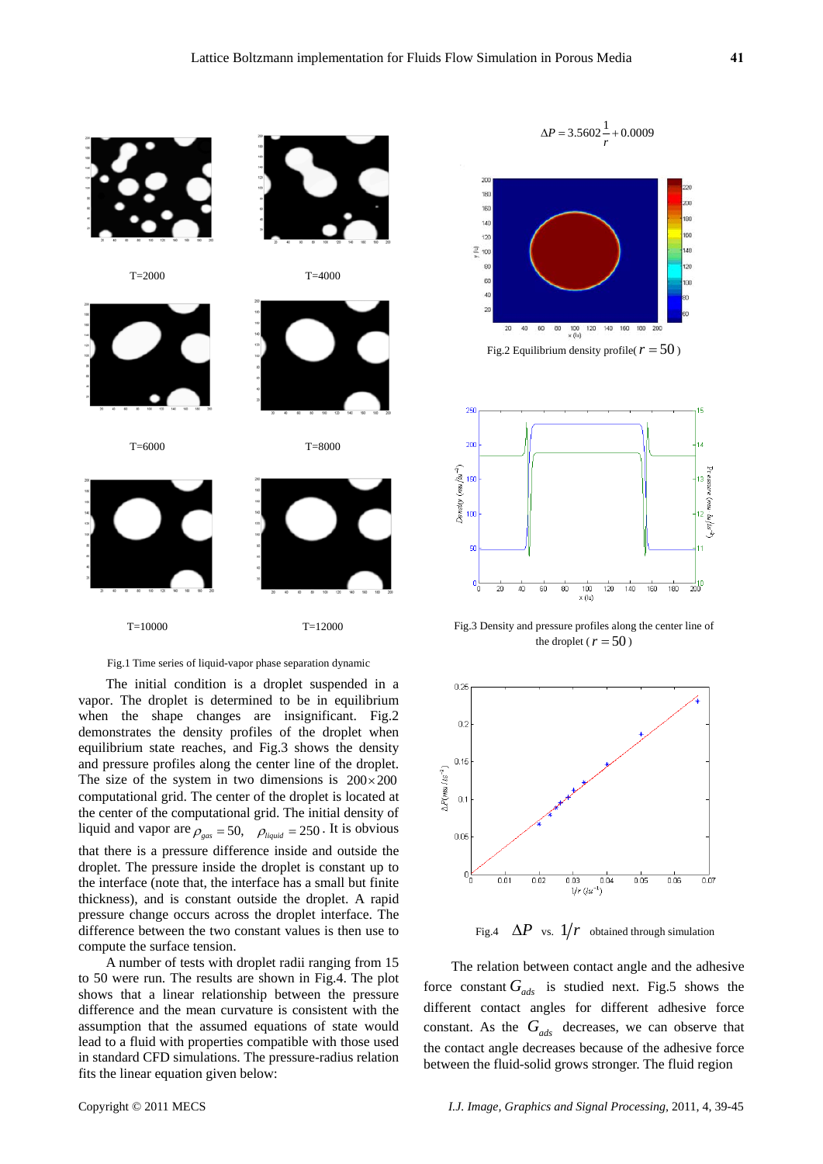

#### Fig.1 Time series of liquid-vapor phase separation dynamic

The initial condition is a droplet suspended in a vapor. The droplet is determined to be in equilibrium when the shape changes are insignificant. Fig.2 demonstrates the density profiles of the droplet when equilibrium state reaches, and Fig.3 shows the density and pressure profiles along the center line of the droplet. The size of the system in two dimensions is  $200 \times 200$ computational grid. The center of the droplet is located at the center of the computational grid. The initial density of liquid and vapor are  $\rho_{gas} = 50$ ,  $\rho_{liquid} = 250$ . It is obvious that there is a pressure difference inside and outside the droplet. The pressure inside the droplet is constant up to the interface (note that, the interface has a small but finite thickness), and is constant outside the droplet. A rapid pressure change occurs across the droplet interface. The difference between the two constant values is then use to compute the surface tension.

A number of tests with droplet radii ranging from 15 to 50 were run. The results are shown in Fig.4. The plot shows that a linear relationship between the pressure difference and the mean curvature is consistent with the assumption that the assumed equations of state would lead to a fluid with properties compatible with those used in standard CFD simulations. The pressure-radius relation fits the linear equation given below:



Fig.3 Density and pressure profiles along the center line of the droplet ( $r = 50$ )



Fig.4  $\Delta P$  vs.  $1/r$  obtained through simulation

The relation between contact angle and the adhesive force constant  $G_{ads}$  is studied next. Fig.5 shows the different contact angles for different adhesive force constant. As the  $G_{ads}$  decreases, we can observe that the contact angle decreases because of the adhesive force between the fluid-solid grows stronger. The fluid region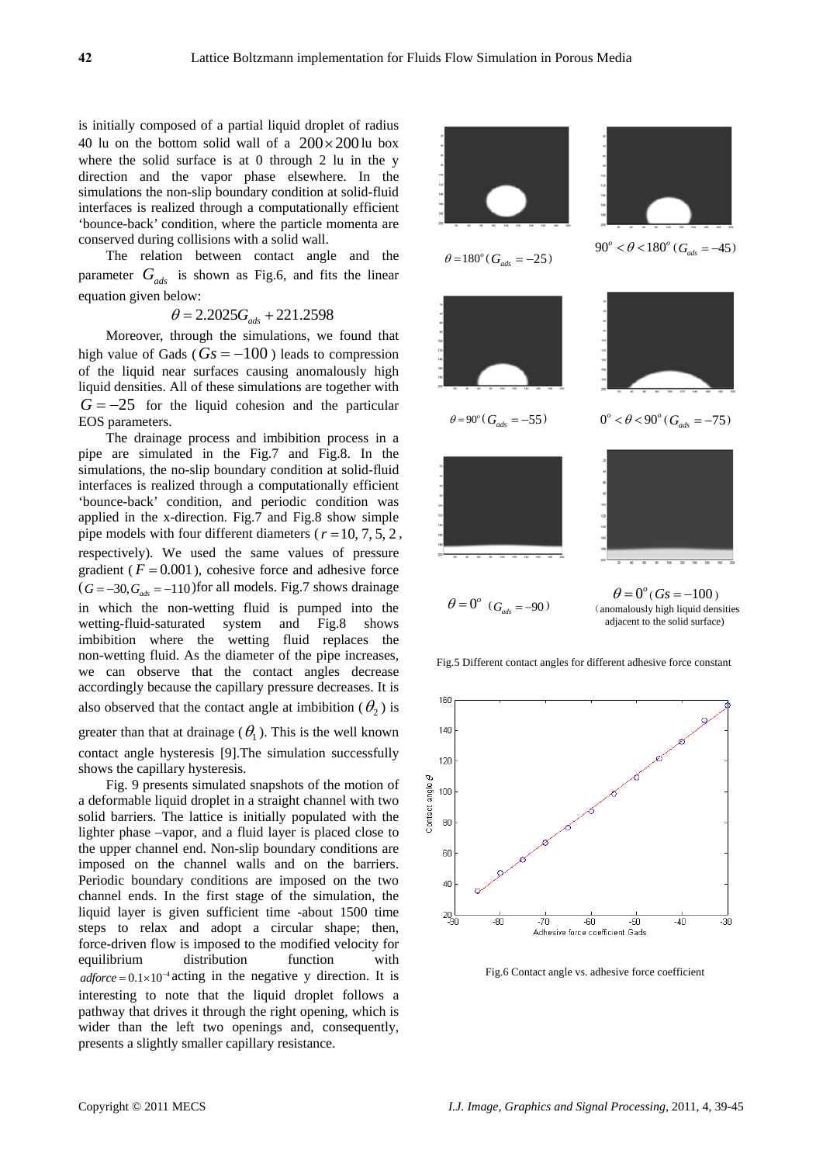is initially composed of a partial liquid droplet of radius 40 lu on the bottom solid wall of a  $200 \times 200$  lu box where the solid surface is at 0 through 2 lu in the y direction and the vapor phase elsewhere. In the simulations the non-slip boundary condition at solid-fluid interfaces is realized through a computationally efficient 'bounce-back' condition, where the particle momenta are conserved during collisions with a solid wall.

The relation between contact angle and the parameter  $G_{ads}$  is shown as Fig.6, and fits the linear equation given below:

$$
\theta = 2.2025G_{ads} + 221.2598
$$

Moreover, through the simulations, we found that high value of Gads ( $Gs = -100$ ) leads to compression of the liquid near surfaces causing anomalously high liquid densities. All of these simulations are together with  $G = -25$  for the liquid cohesion and the particular EOS parame ters.

The drainage process and imbibition process in a pipe are simulated in the Fig.7 and Fig.8. In the simulations, the no-slip boundary condition at solid-fluid interfaces is realized through a computationally efficient 'bounce-back' condition, and periodic condition was applied in the x-direction. Fig.7 and Fig.8 show simple pipe models with four different diameters ( $r = 10, 7, 5, 2$ , respectively). We used the same values of pressure gradient ( $F = 0.001$ ), cohesive force and adhesive force  $(G = -30, G<sub>ads</sub> = -110)$  for all models. Fig.7 shows drainage in which the non-wetting fluid is pumped into the wetting-fluid-saturated system and Fig.8 shows imbibition where the wetting fluid replaces the non-wetting fluid. As the diameter of the pipe increases, we can observe that the contact angles decrease accordingly because the capillary pressure decreases. It is also observed that the contact angle at imbibition  $(\theta_2)$  is

greater than that at drainage ( $\theta_1$ ). This is the well known contact angle hysteresis [9].The simulation successfully shows the capillary hysteresis.

Fig. 9 presents simulated snapshots of the motion of a deformable liquid droplet in a straight channel with two solid barriers. The lattice is initially populated with the lighter phase –vapor, and a fluid layer is placed close to the upper channel end. Non-slip boundary conditions are imposed on the channel walls and on the barriers. Periodic boundary conditions are imposed on the two channel ends. In the first stage of the simulation, the liquid layer is given sufficient time -about 1500 time steps to relax and adopt a circular shape; then, force-driven flow is imposed to the modified velocity for equilibrium distribution function with  $adjorce = 0.1 \times 10^{-4}$  acting in the negative y direction. It is interesting to note that the liquid droplet follows a pathway that drives it through the right opening, which is wider than the left two openings and, consequently, presents a slightly smaller capillary resistance.



Fig.5 Different contact angles for different adhesive force constant



Fig.6 Contact angle vs. adhesive force coefficient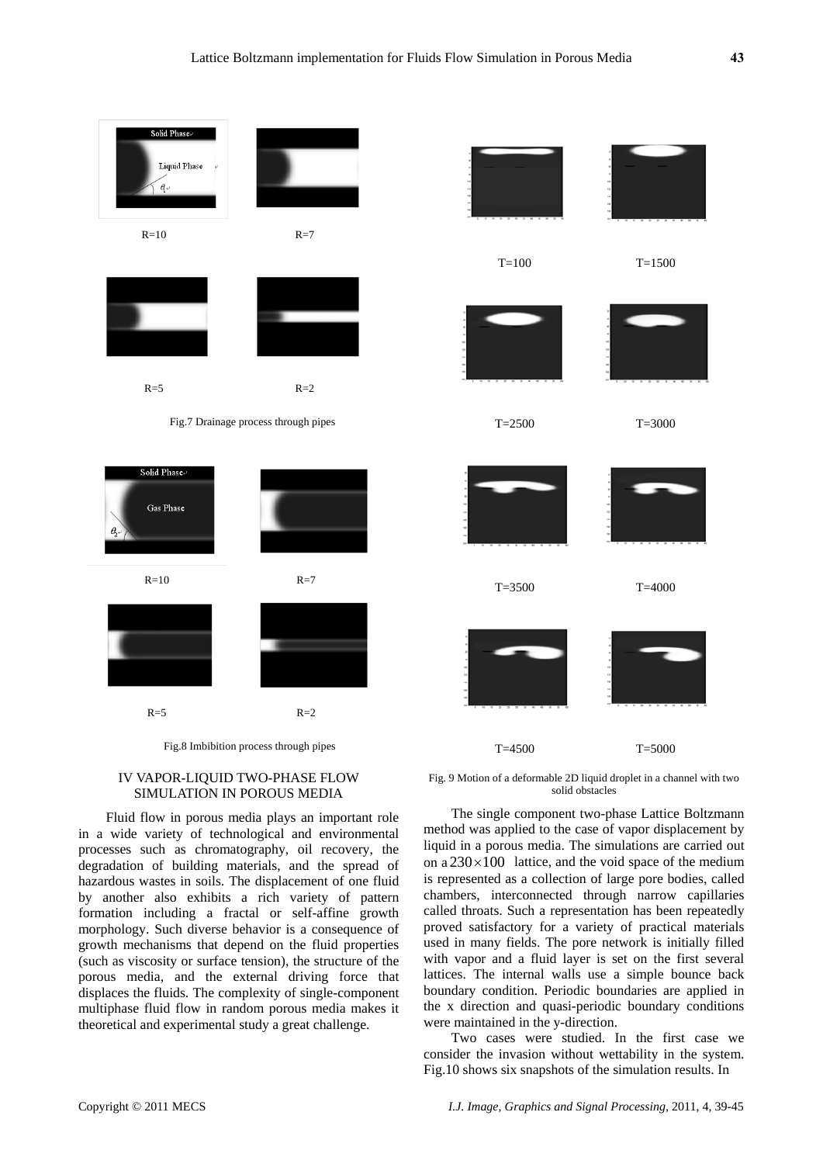

Fig.8 Imbibition process through pipes

# IV VAPOR-LIQUID TWO-PHASE FLOW SIMULATION IN POROUS MEDIA

Fluid flow in porous media plays an important role in a wide variety of technological and environmental processes such as chromatography, oil recovery, the degradation of building materials, and the spread of hazardous wastes in soils. The displacement of one fluid by another also exhibits a rich variety of pattern formation including a fractal or self-affine growth morphology. Such diverse behavior is a consequence of growth mechanisms that depend on the fluid properties (such as viscosity or surface tension), the structure of the porous media, and the external driving force that displaces the fluids. The complexity of single-component multiphase fluid flow in random porous media makes it theoretical and experimental study a great challenge.

Fig. 9 Motion of a deformable 2D liquid droplet in a channel with two solid obstacles

T=4500 T=5000

The single component two-phase Lattice Boltzmann method was applied to the case of vapor displacement by liquid in a porous media. The simulations are carried out on a  $230 \times 100$  lattice, and the void space of the medium is represented as a collection of large pore bodies, called chambers, interconnected through narrow capillaries called throats. Such a representation has been repeatedly proved satisfactory for a variety of practical materials used in many fields. The pore network is initially filled with vapor and a fluid layer is set on the first several lattices. The internal walls use a simple bounce back boundary condition. Periodic boundaries are applied in the x direction and quasi-periodic boundary conditions were maintained in the y-direction.

Two cases were studied. In the first case we consider the invasion without wettability in the system. Fig.10 shows six snapshots of the simulation results. In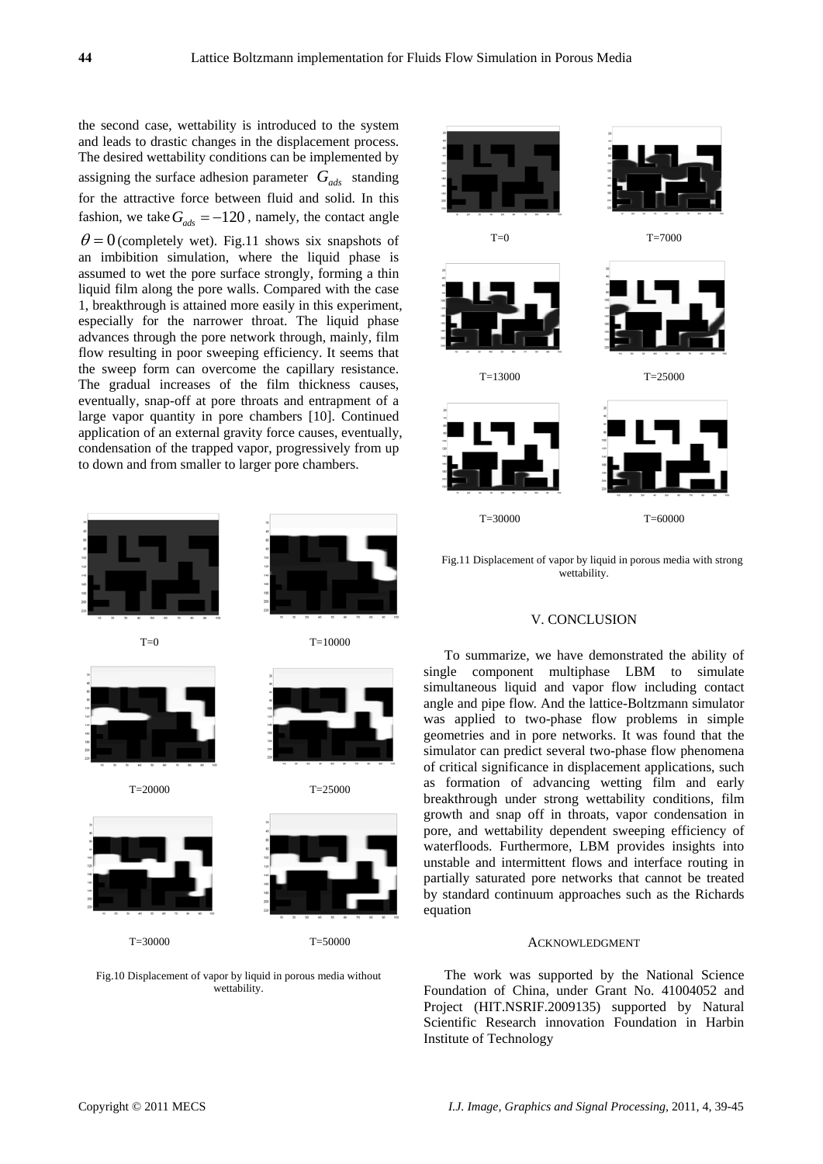the second case, wettability is introduced to the system and leads to drastic changes in the displacement process. The desired wettability conditions can be implemented by assigning the surface adhesion parameter  $G_{ads}$  standing for the attractive force between fluid and solid. In this fashion, we take  $G_{ads} = -120$ , namely, the contact angle  $\theta = 0$  (completely wet). Fig.11 shows six snapshots of an imbibition simulation, where the liquid phase is assumed to wet the pore surface strongly, forming a thin liquid film along the pore walls. Compared with the case 1, breakthrough is attained more easily in this experiment, especially for the narrower throat. The liquid phase advances through the pore network through, mainly, film flow resulting in poor sweeping efficiency. It seems that the sweep form can overcome the capillary resistance. The gradual increases of the film thickness causes, eventually, snap-off at pore throats and entrapment of a large vapor quantity in pore chambers [10]. Continued application of an external gravity force causes, eventually, condensation of the trapped vapor, progressively from up to down and from smaller to larger pore chambers.



Fig.10 Displacement of vapor by liquid in porous media without wettability.



Fig.11 Displacement of vapor by liquid in porous media with strong wettability.

### V. CONCLUSION

To summarize, we have demonstrated the ability of single component multiphase LBM to simulate simultaneous liquid and vapor flow including contact angle and pipe flow. And the lattice-Boltzmann simulator was applied to two-phase flow problems in simple geometries and in pore networks. It was found that the simulator can predict several two-phase flow phenomena of critical significance in displacement applications, such as formation of advancing wetting film and early breakthrough under strong wettability conditions, film growth and snap off in throats, vapor condensation in pore, and wettability dependent sweeping efficiency of waterfloods. Furthermore, LBM provides insights into unstable and intermittent flows and interface routing in partially saturated pore networks that cannot be treated by standard continuum approaches such as the Richards equation

### ACKNOWLEDGMENT

The work was supported by the National Science Foundation of China, under Grant No. 41004052 and Project (HIT.NSRIF.2009135) supported by Natural Scientific Research innovation Foundation in Harbin Institute of Technology